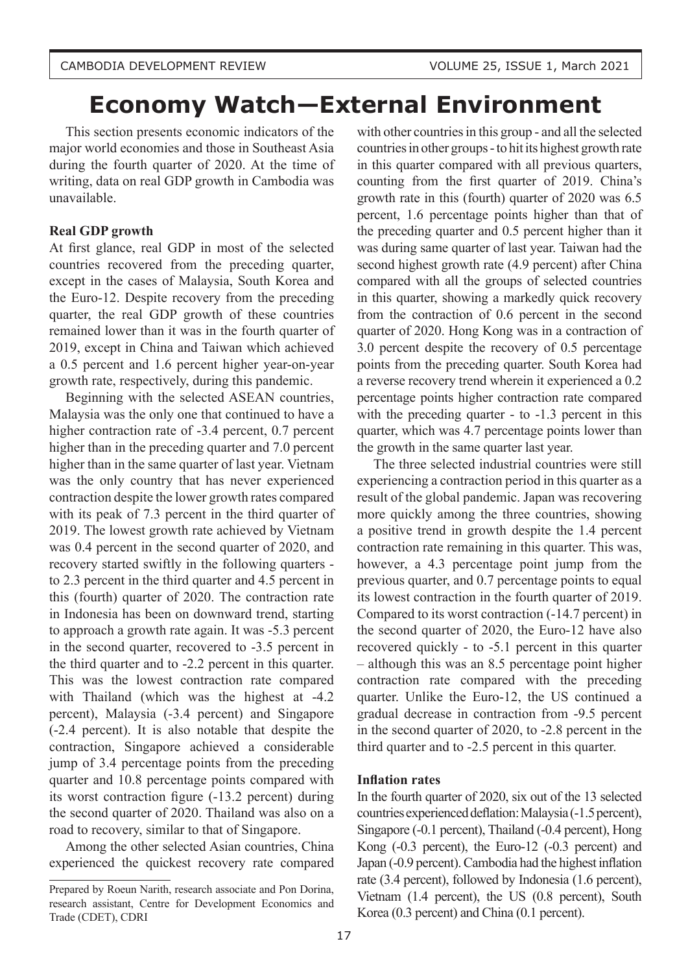# **Economy Watch—External Environment**

This section presents economic indicators of the major world economies and those in Southeast Asia during the fourth quarter of 2020. At the time of writing, data on real GDP growth in Cambodia was unavailable.

#### **Real GDP growth**

At first glance, real GDP in most of the selected countries recovered from the preceding quarter, except in the cases of Malaysia, South Korea and the Euro-12. Despite recovery from the preceding quarter, the real GDP growth of these countries remained lower than it was in the fourth quarter of 2019, except in China and Taiwan which achieved a 0.5 percent and 1.6 percent higher year-on-year growth rate, respectively, during this pandemic.

Beginning with the selected ASEAN countries, Malaysia was the only one that continued to have a higher contraction rate of -3.4 percent, 0.7 percent higher than in the preceding quarter and 7.0 percent higher than in the same quarter of last year. Vietnam was the only country that has never experienced contraction despite the lower growth rates compared with its peak of 7.3 percent in the third quarter of 2019. The lowest growth rate achieved by Vietnam was 0.4 percent in the second quarter of 2020, and recovery started swiftly in the following quarters to 2.3 percent in the third quarter and 4.5 percent in this (fourth) quarter of 2020. The contraction rate in Indonesia has been on downward trend, starting to approach a growth rate again. It was -5.3 percent in the second quarter, recovered to -3.5 percent in the third quarter and to -2.2 percent in this quarter. This was the lowest contraction rate compared with Thailand (which was the highest at -4.2 percent), Malaysia (-3.4 percent) and Singapore (-2.4 percent). It is also notable that despite the contraction, Singapore achieved a considerable jump of 3.4 percentage points from the preceding quarter and 10.8 percentage points compared with its worst contraction figure (-13.2 percent) during the second quarter of 2020. Thailand was also on a road to recovery, similar to that of Singapore.

Among the other selected Asian countries, China experienced the quickest recovery rate compared

with other countries in this group - and all the selected countries in other groups - to hit its highest growth rate in this quarter compared with all previous quarters, counting from the first quarter of 2019. China's growth rate in this (fourth) quarter of 2020 was 6.5 percent, 1.6 percentage points higher than that of the preceding quarter and 0.5 percent higher than it was during same quarter of last year. Taiwan had the second highest growth rate (4.9 percent) after China compared with all the groups of selected countries in this quarter, showing a markedly quick recovery from the contraction of 0.6 percent in the second quarter of 2020. Hong Kong was in a contraction of 3.0 percent despite the recovery of 0.5 percentage points from the preceding quarter. South Korea had a reverse recovery trend wherein it experienced a 0.2 percentage points higher contraction rate compared with the preceding quarter - to -1.3 percent in this quarter, which was 4.7 percentage points lower than the growth in the same quarter last year.

The three selected industrial countries were still experiencing a contraction period in this quarter as a result of the global pandemic. Japan was recovering more quickly among the three countries, showing a positive trend in growth despite the 1.4 percent contraction rate remaining in this quarter. This was, however, a 4.3 percentage point jump from the previous quarter, and 0.7 percentage points to equal its lowest contraction in the fourth quarter of 2019. Compared to its worst contraction (-14.7 percent) in the second quarter of 2020, the Euro-12 have also recovered quickly - to -5.1 percent in this quarter – although this was an 8.5 percentage point higher contraction rate compared with the preceding quarter. Unlike the Euro-12, the US continued a gradual decrease in contraction from -9.5 percent in the second quarter of 2020, to -2.8 percent in the third quarter and to -2.5 percent in this quarter.

#### **Inflation rates**

In the fourth quarter of 2020, six out of the 13 selected countries experienced deflation: Malaysia (-1.5 percent), Singapore (-0.1 percent), Thailand (-0.4 percent), Hong Kong (-0.3 percent), the Euro-12 (-0.3 percent) and Japan (-0.9 percent). Cambodia had the highest inflation rate (3.4 percent), followed by Indonesia (1.6 percent), Vietnam (1.4 percent), the US (0.8 percent), South Korea (0.3 percent) and China (0.1 percent).

Prepared by Roeun Narith, research associate and Pon Dorina, research assistant, Centre for Development Economics and Trade (CDET), CDRI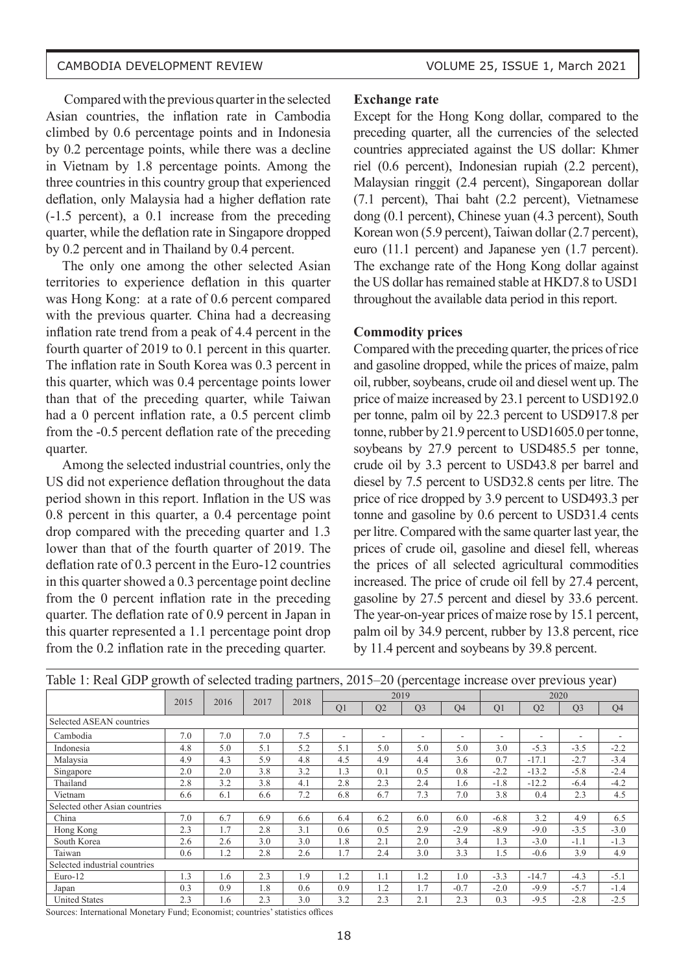Compared with the previous quarter in the selected Asian countries, the inflation rate in Cambodia climbed by 0.6 percentage points and in Indonesia by 0.2 percentage points, while there was a decline in Vietnam by 1.8 percentage points. Among the three countries in this country group that experienced deflation, only Malaysia had a higher deflation rate (-1.5 percent), a 0.1 increase from the preceding quarter, while the deflation rate in Singapore dropped by 0.2 percent and in Thailand by 0.4 percent.

The only one among the other selected Asian territories to experience deflation in this quarter was Hong Kong: at a rate of 0.6 percent compared with the previous quarter. China had a decreasing inflation rate trend from a peak of 4.4 percent in the fourth quarter of 2019 to 0.1 percent in this quarter. The inflation rate in South Korea was 0.3 percent in this quarter, which was 0.4 percentage points lower than that of the preceding quarter, while Taiwan had a 0 percent inflation rate, a 0.5 percent climb from the -0.5 percent deflation rate of the preceding quarter.

Among the selected industrial countries, only the US did not experience deflation throughout the data period shown in this report. Inflation in the US was 0.8 percent in this quarter, a 0.4 percentage point drop compared with the preceding quarter and 1.3 lower than that of the fourth quarter of 2019. The deflation rate of 0.3 percent in the Euro-12 countries in this quarter showed a 0.3 percentage point decline from the 0 percent inflation rate in the preceding quarter. The deflation rate of 0.9 percent in Japan in this quarter represented a 1.1 percentage point drop from the 0.2 inflation rate in the preceding quarter.

#### **Exchange rate**

Except for the Hong Kong dollar, compared to the preceding quarter, all the currencies of the selected countries appreciated against the US dollar: Khmer riel (0.6 percent), Indonesian rupiah (2.2 percent), Malaysian ringgit (2.4 percent), Singaporean dollar (7.1 percent), Thai baht (2.2 percent), Vietnamese dong (0.1 percent), Chinese yuan (4.3 percent), South Korean won (5.9 percent), Taiwan dollar (2.7 percent), euro (11.1 percent) and Japanese yen (1.7 percent). The exchange rate of the Hong Kong dollar against the US dollar has remained stable at HKD7.8 to USD1 throughout the available data period in this report.

#### **Commodity prices**

Compared with the preceding quarter, the prices of rice and gasoline dropped, while the prices of maize, palm oil, rubber, soybeans, crude oil and diesel went up. The price of maize increased by 23.1 percent to USD192.0 per tonne, palm oil by 22.3 percent to USD917.8 per tonne, rubber by 21.9 percent to USD1605.0 per tonne, soybeans by 27.9 percent to USD485.5 per tonne, crude oil by 3.3 percent to USD43.8 per barrel and diesel by 7.5 percent to USD32.8 cents per litre. The price of rice dropped by 3.9 percent to USD493.3 per tonne and gasoline by 0.6 percent to USD31.4 cents per litre. Compared with the same quarter last year, the prices of crude oil, gasoline and diesel fell, whereas the prices of all selected agricultural commodities increased. The price of crude oil fell by 27.4 percent, gasoline by 27.5 percent and diesel by 33.6 percent. The year-on-year prices of maize rose by 15.1 percent, palm oil by 34.9 percent, rubber by 13.8 percent, rice by 11.4 percent and soybeans by 39.8 percent.

| Table 1. Kear ODT growin of screeged trading partners, 2019–20 (percentage mercase over previous year) |      |      |      |      |                |     |                |                          |                |         |                          |                |  |
|--------------------------------------------------------------------------------------------------------|------|------|------|------|----------------|-----|----------------|--------------------------|----------------|---------|--------------------------|----------------|--|
|                                                                                                        |      |      |      |      |                |     | 2019           |                          |                |         | 2020                     |                |  |
|                                                                                                        | 2015 | 2016 | 2017 | 2018 | Q <sub>1</sub> | Q2  | Q <sub>3</sub> | Q <sub>4</sub>           | Q <sub>1</sub> | Q2      | Q <sub>3</sub>           | Q <sub>4</sub> |  |
| Selected ASEAN countries                                                                               |      |      |      |      |                |     |                |                          |                |         |                          |                |  |
| Cambodia                                                                                               | 7.0  | 7.0  | 7.0  | 7.5  | ۰.             | ۰   | ۰              | $\overline{\phantom{a}}$ | ۰              | ۰       | $\overline{\phantom{a}}$ |                |  |
| Indonesia                                                                                              | 4.8  | 5.0  | 5.1  | 5.2  | 5.1            | 5.0 | 5.0            | 5.0                      | 3.0            | $-5.3$  | $-3.5$                   | $-2.2$         |  |
| Malaysia                                                                                               | 4.9  | 4.3  | 5.9  | 4.8  | 4.5            | 4.9 | 4.4            | 3.6                      | 0.7            | $-17.1$ | $-2.7$                   | $-3.4$         |  |
| Singapore                                                                                              | 2.0  | 2.0  | 3.8  | 3.2  | 1.3            | 0.1 | 0.5            | 0.8                      | $-2.2$         | $-13.2$ | $-5.8$                   | $-2.4$         |  |
| Thailand                                                                                               | 2.8  | 3.2  | 3.8  | 4.1  | 2.8            | 2.3 | 2.4            | 1.6                      | $-1.8$         | $-12.2$ | $-6.4$                   | $-4.2$         |  |
| Vietnam                                                                                                | 6.6  | 6.1  | 6.6  | 7.2  | 6.8            | 6.7 | 7.3            | 7.0                      | 3.8            | 0.4     | 2.3                      | 4.5            |  |
| Selected other Asian countries                                                                         |      |      |      |      |                |     |                |                          |                |         |                          |                |  |
| China                                                                                                  | 7.0  | 6.7  | 6.9  | 6.6  | 6.4            | 6.2 | 6.0            | 6.0                      | $-6.8$         | 3.2     | 4.9                      | 6.5            |  |
| Hong Kong                                                                                              | 2.3  | 1.7  | 2.8  | 3.1  | 0.6            | 0.5 | 2.9            | $-2.9$                   | $-8.9$         | $-9.0$  | $-3.5$                   | $-3.0$         |  |
| South Korea                                                                                            | 2.6  | 2.6  | 3.0  | 3.0  | 1.8            | 2.1 | 2.0            | 3.4                      | 1.3            | $-3.0$  | $-1.1$                   | $-1.3$         |  |
| Taiwan                                                                                                 | 0.6  | 1.2  | 2.8  | 2.6  | 1.7            | 2.4 | 3.0            | 3.3                      | 1.5            | $-0.6$  | 3.9                      | 4.9            |  |
| Selected industrial countries                                                                          |      |      |      |      |                |     |                |                          |                |         |                          |                |  |
| Euro-12                                                                                                | 1.3  | 1.6  | 2.3  | 1.9  | 1.2            | 1.1 | 1.2            | 1.0                      | $-3.3$         | $-14.7$ | $-4.3$                   | $-5.1$         |  |
| Japan                                                                                                  | 0.3  | 0.9  | 1.8  | 0.6  | 0.9            | 1.2 | 1.7            | $-0.7$                   | $-2.0$         | $-9.9$  | $-5.7$                   | $-1.4$         |  |
| <b>United States</b>                                                                                   | 2.3  | 1.6  | 2.3  | 3.0  | 3.2            | 2.3 | 2.1            | 2.3                      | 0.3            | $-9.5$  | $-2.8$                   | $-2.5$         |  |

Table 1: Real GDP growth of selected trading partners, 2015–20 (percentage increase over previous year)

Sources: International Monetary Fund; Economist; countries' statistics offices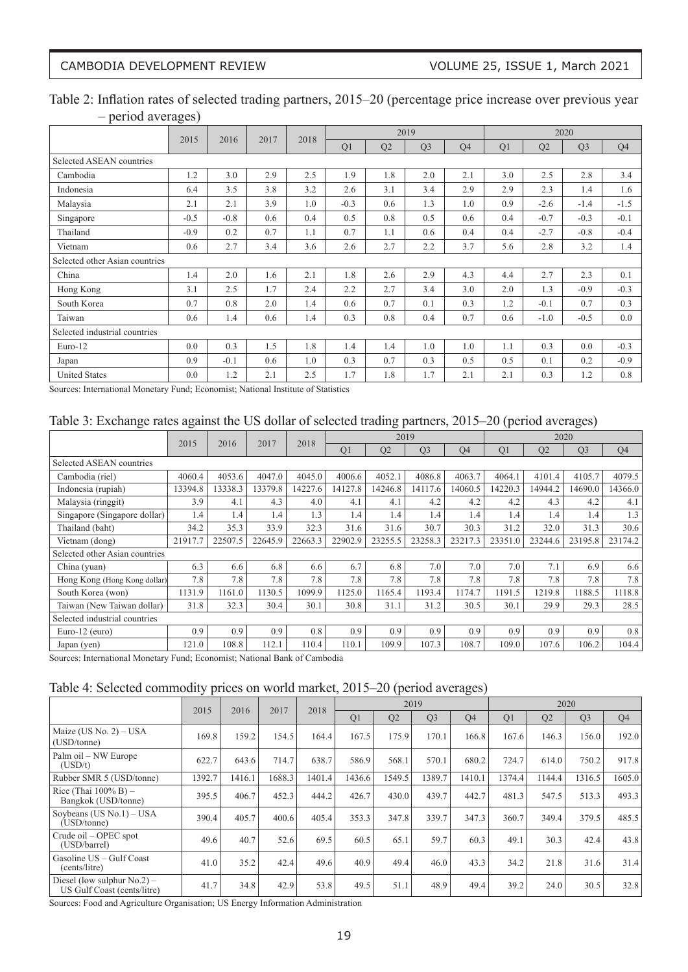## Table 2: Inflation rates of selected trading partners, 2015–20 (percentage price increase over previous year – period averages)

|                                | 2015   |        |      |      |        |     | 2019           |     |     |        | 2020           |        |
|--------------------------------|--------|--------|------|------|--------|-----|----------------|-----|-----|--------|----------------|--------|
|                                |        | 2016   | 2017 | 2018 | Q1     | Q2  | Q <sub>3</sub> | Q4  | Q1  | Q2     | Q <sub>3</sub> | Q4     |
| Selected ASEAN countries       |        |        |      |      |        |     |                |     |     |        |                |        |
| Cambodia                       | 1.2    | 3.0    | 2.9  | 2.5  | 1.9    | 1.8 | 2.0            | 2.1 | 3.0 | 2.5    | 2.8            | 3.4    |
| Indonesia                      | 6.4    | 3.5    | 3.8  | 3.2  | 2.6    | 3.1 | 3.4            | 2.9 | 2.9 | 2.3    | 1.4            | 1.6    |
| Malaysia                       | 2.1    | 2.1    | 3.9  | 1.0  | $-0.3$ | 0.6 | 1.3            | 1.0 | 0.9 | $-2.6$ | $-1.4$         | $-1.5$ |
| Singapore                      | $-0.5$ | $-0.8$ | 0.6  | 0.4  | 0.5    | 0.8 | 0.5            | 0.6 | 0.4 | $-0.7$ | $-0.3$         | $-0.1$ |
| Thailand                       | $-0.9$ | 0.2    | 0.7  | 1.1  | 0.7    | 1.1 | 0.6            | 0.4 | 0.4 | $-2.7$ | $-0.8$         | $-0.4$ |
| Vietnam                        | 0.6    | 2.7    | 3.4  | 3.6  | 2.6    | 2.7 | 2.2            | 3.7 | 5.6 | 2.8    | 3.2            | 1.4    |
| Selected other Asian countries |        |        |      |      |        |     |                |     |     |        |                |        |
| China                          | 1.4    | 2.0    | 1.6  | 2.1  | 1.8    | 2.6 | 2.9            | 4.3 | 4.4 | 2.7    | 2.3            | 0.1    |
| Hong Kong                      | 3.1    | 2.5    | 1.7  | 2.4  | 2.2    | 2.7 | 3.4            | 3.0 | 2.0 | 1.3    | $-0.9$         | $-0.3$ |
| South Korea                    | 0.7    | 0.8    | 2.0  | 1.4  | 0.6    | 0.7 | 0.1            | 0.3 | 1.2 | $-0.1$ | 0.7            | 0.3    |
| Taiwan                         | 0.6    | 1.4    | 0.6  | 1.4  | 0.3    | 0.8 | 0.4            | 0.7 | 0.6 | $-1.0$ | $-0.5$         | 0.0    |
| Selected industrial countries  |        |        |      |      |        |     |                |     |     |        |                |        |
| Euro-12                        | 0.0    | 0.3    | 1.5  | 1.8  | 1.4    | 1.4 | 1.0            | 1.0 | 1.1 | 0.3    | 0.0            | $-0.3$ |
| Japan                          | 0.9    | $-0.1$ | 0.6  | 1.0  | 0.3    | 0.7 | 0.3            | 0.5 | 0.5 | 0.1    | 0.2            | $-0.9$ |
| <b>United States</b>           | 0.0    | 1.2    | 2.1  | 2.5  | 1.7    | 1.8 | 1.7            | 2.1 | 2.1 | 0.3    | 1.2            | 0.8    |

Sources: International Monetary Fund; Economist; National Institute of Statistics

#### Table 3: Exchange rates against the US dollar of selected trading partners, 2015–20 (period averages)

|                                | 2015<br>2016 | 2017    | 2018    |         |                | 2019    |                |         |         | 2020    |                |                |
|--------------------------------|--------------|---------|---------|---------|----------------|---------|----------------|---------|---------|---------|----------------|----------------|
|                                |              |         |         |         | Q <sub>1</sub> | Q2      | Q <sub>3</sub> | Q4      | Q1      | Q2      | Q <sub>3</sub> | Q <sub>4</sub> |
| Selected ASEAN countries       |              |         |         |         |                |         |                |         |         |         |                |                |
| Cambodia (riel)                | 4060.4       | 4053.6  | 4047.0  | 4045.0  | 4006.6         | 4052.1  | 4086.8         | 4063.7  | 4064.1  | 4101.4  | 4105.7         | 4079.5         |
| Indonesia (rupiah)             | 13394.8      | 13338.3 | 13379.8 | 14227.6 | 14127.8        | 14246.8 | 14117.6        | 14060.5 | 14220.3 | 14944.2 | 14690.0        | 14366.0        |
| Malaysia (ringgit)             | 3.9          | 4.1     | 4.3     | 4.0     | 4.1            | 4.1     | 4.2            | 4.2     | 4.2     | 4.3     | 4.2            | 4.1            |
| Singapore (Singapore dollar)   | 1.4          | 1.4     | 1.4     | 1.3     | 1.4            | 1.4     | 1.4            | 1.4     | 1.4     | 1.4     | 1.4            | 1.3            |
| Thailand (baht)                | 34.2         | 35.3    | 33.9    | 32.3    | 31.6           | 31.6    | 30.7           | 30.3    | 31.2    | 32.0    | 31.3           | 30.6           |
| Vietnam (dong)                 | 21917.7      | 22507.5 | 22645.9 | 22663.3 | 22902.9        | 23255.5 | 23258.3        | 23217.3 | 23351.0 | 23244.6 | 23195.8        | 23174.2        |
| Selected other Asian countries |              |         |         |         |                |         |                |         |         |         |                |                |
| China (yuan)                   | 6.3          | 6.6     | 6.8     | 6.6     | 6.7            | 6.8     | 7.0            | 7.0     | 7.0     | 7.1     | 6.9            | 6.6            |
| Hong Kong (Hong Kong dollar)   | 7.8          | 7.8     | 7.8     | 7.8     | 7.8            | 7.8     | 7.8            | 7.8     | 7.8     | 7.8     | 7.8            | 7.8            |
| South Korea (won)              | 1131.9       | 1161.0  | 1130.5  | 1099.9  | 1125.0         | 1165.4  | 1193.4         | 1174.7  | 1191.5  | 1219.8  | 1188.5         | 1118.8         |
| Taiwan (New Taiwan dollar)     | 31.8         | 32.3    | 30.4    | 30.1    | 30.8           | 31.1    | 31.2           | 30.5    | 30.1    | 29.9    | 29.3           | 28.5           |
| Selected industrial countries  |              |         |         |         |                |         |                |         |         |         |                |                |
| Euro-12 $(euro)$               | 0.9          | 0.9     | 0.9     | 0.8     | 0.9            | 0.9     | 0.9            | 0.9     | 0.9     | 0.9     | 0.9            | 0.8            |
| Japan (yen)                    | 121.0        | 108.8   | 112.1   | 110.4   | 110.1          | 109.9   | 107.3          | 108.7   | 109.0   | 107.6   | 106.2          | 104.4          |

Sources: International Monetary Fund; Economist; National Bank of Cambodia

#### Table 4: Selected commodity prices on world market, 2015–20 (period averages)

|                                                               | 2015<br>2016 | 2017   | 2018   |        |        | 2019           |                |                |                | 2020           |                |                |
|---------------------------------------------------------------|--------------|--------|--------|--------|--------|----------------|----------------|----------------|----------------|----------------|----------------|----------------|
|                                                               |              |        |        |        | Q1     | O <sub>2</sub> | Q <sub>3</sub> | O <sub>4</sub> | Q <sub>1</sub> | O <sub>2</sub> | Q <sub>3</sub> | Q <sub>4</sub> |
| Maize (US No. $2$ ) – USA<br>(USD/tonne)                      | 169.8        | 159.2  | 154.5  | 164.4  | 167.5  | 175.9          | 170.1          | 166.8          | 167.6          | 146.3          | 156.0          | 192.0          |
| Palm oil – NW Europe<br>(USD/t)                               | 622.7        | 643.6  | 714.7  | 638.7  | 586.9  | 568.1          | 570.1          | 680.2          | 724.7          | 614.0          | 750.2          | 917.8          |
| Rubber SMR 5 (USD/tonne)                                      | 1392.7       | 1416.1 | 1688.3 | 1401.4 | 1436.6 | 1549.5         | 1389.7         | 1410.1         | 1374.4         | 1144.4         | 1316.5         | 1605.0         |
| Rice (Thai $100\%$ B) –<br>Bangkok (USD/tonne)                | 395.5        | 406.7  | 452.3  | 444.2  | 426.7  | 430.0          | 439.7          | 442.7          | 481.3          | 547.5          | 513.3          | 493.3          |
| Soybeans (US $No.1$ ) – USA<br>(USD/tonne)                    | 390.4        | 405.7  | 400.6  | 405.4  | 353.3  | 347.8          | 339.7          | 347.3          | 360.7          | 349.4          | 379.5          | 485.5          |
| Crude oil – OPEC spot<br>(USD/barrel)                         | 49.6         | 40.7   | 52.6   | 69.5   | 60.5   | 65.1           | 59.7           | 60.3           | 49.1           | 30.3           | 42.4           | 43.8           |
| Gasoline US - Gulf Coast<br>(cents/litre)                     | 41.0         | 35.2   | 42.4   | 49.6   | 40.9   | 49.4           | 46.0           | 43.3           | 34.2           | 21.8           | 31.6           | 31.4           |
| Diesel (low sulphur $No.2$ ) –<br>US Gulf Coast (cents/litre) | 41.7         | 34.8   | 42.9   | 53.8   | 49.5   | 51.1           | 48.9           | 49.4           | 39.2           | 24.0           | 30.5           | 32.8           |

Sources: Food and Agriculture Organisation; US Energy Information Administration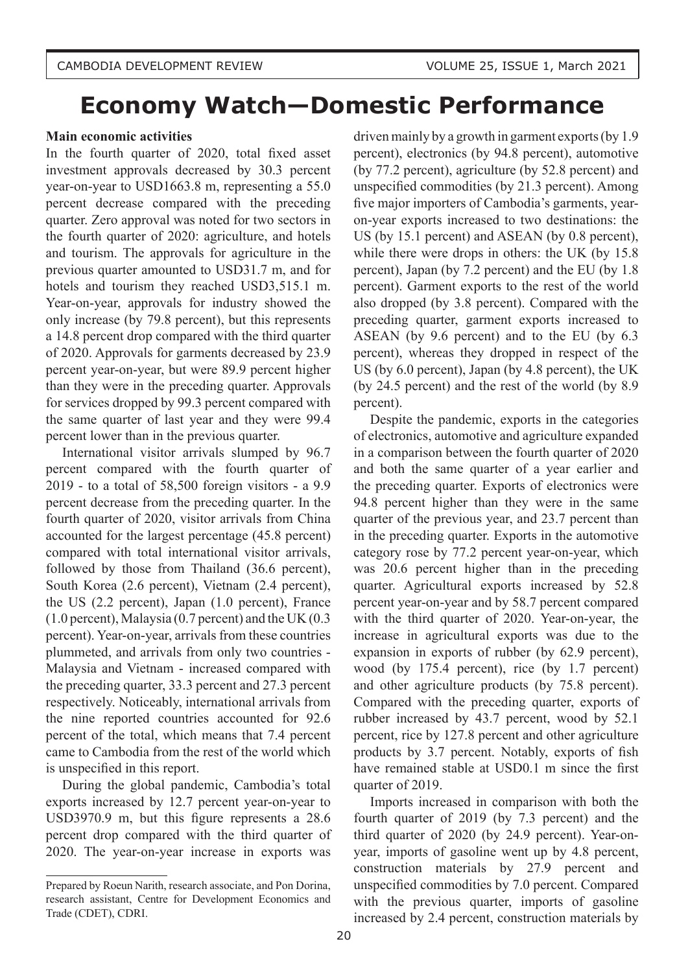# **Economy Watch—Domestic Performance**

#### **Main economic activities**

In the fourth quarter of 2020, total fixed asset investment approvals decreased by 30.3 percent year-on-year to USD1663.8 m, representing a 55.0 percent decrease compared with the preceding quarter. Zero approval was noted for two sectors in the fourth quarter of 2020: agriculture, and hotels and tourism. The approvals for agriculture in the previous quarter amounted to USD31.7 m, and for hotels and tourism they reached USD3,515.1 m. Year-on-year, approvals for industry showed the only increase (by 79.8 percent), but this represents a 14.8 percent drop compared with the third quarter of 2020. Approvals for garments decreased by 23.9 percent year-on-year, but were 89.9 percent higher than they were in the preceding quarter. Approvals for services dropped by 99.3 percent compared with the same quarter of last year and they were 99.4 percent lower than in the previous quarter.

International visitor arrivals slumped by 96.7 percent compared with the fourth quarter of 2019 - to a total of 58,500 foreign visitors - a 9.9 percent decrease from the preceding quarter. In the fourth quarter of 2020, visitor arrivals from China accounted for the largest percentage (45.8 percent) compared with total international visitor arrivals, followed by those from Thailand (36.6 percent), South Korea (2.6 percent), Vietnam (2.4 percent), the US (2.2 percent), Japan (1.0 percent), France (1.0 percent), Malaysia (0.7 percent) and the UK (0.3 percent). Year-on-year, arrivals from these countries plummeted, and arrivals from only two countries - Malaysia and Vietnam - increased compared with the preceding quarter, 33.3 percent and 27.3 percent respectively. Noticeably, international arrivals from the nine reported countries accounted for 92.6 percent of the total, which means that 7.4 percent came to Cambodia from the rest of the world which is unspecified in this report.

During the global pandemic, Cambodia's total exports increased by 12.7 percent year-on-year to USD3970.9 m, but this figure represents a 28.6 percent drop compared with the third quarter of 2020. The year-on-year increase in exports was driven mainly by a growth in garment exports (by 1.9 percent), electronics (by 94.8 percent), automotive (by 77.2 percent), agriculture (by 52.8 percent) and unspecified commodities (by 21.3 percent). Among five major importers of Cambodia's garments, yearon-year exports increased to two destinations: the US (by 15.1 percent) and ASEAN (by 0.8 percent), while there were drops in others: the UK (by 15.8) percent), Japan (by 7.2 percent) and the EU (by 1.8 percent). Garment exports to the rest of the world also dropped (by 3.8 percent). Compared with the preceding quarter, garment exports increased to ASEAN (by 9.6 percent) and to the EU (by 6.3 percent), whereas they dropped in respect of the US (by 6.0 percent), Japan (by 4.8 percent), the UK (by 24.5 percent) and the rest of the world (by 8.9 percent).

Despite the pandemic, exports in the categories of electronics, automotive and agriculture expanded in a comparison between the fourth quarter of 2020 and both the same quarter of a year earlier and the preceding quarter. Exports of electronics were 94.8 percent higher than they were in the same quarter of the previous year, and 23.7 percent than in the preceding quarter. Exports in the automotive category rose by 77.2 percent year-on-year, which was 20.6 percent higher than in the preceding quarter. Agricultural exports increased by 52.8 percent year-on-year and by 58.7 percent compared with the third quarter of 2020. Year-on-year, the increase in agricultural exports was due to the expansion in exports of rubber (by 62.9 percent), wood (by 175.4 percent), rice (by 1.7 percent) and other agriculture products (by 75.8 percent). Compared with the preceding quarter, exports of rubber increased by 43.7 percent, wood by 52.1 percent, rice by 127.8 percent and other agriculture products by 3.7 percent. Notably, exports of fish have remained stable at USD0.1 m since the first quarter of 2019.

Imports increased in comparison with both the fourth quarter of 2019 (by 7.3 percent) and the third quarter of 2020 (by 24.9 percent). Year-onyear, imports of gasoline went up by 4.8 percent, construction materials by 27.9 percent and unspecified commodities by 7.0 percent. Compared with the previous quarter, imports of gasoline increased by 2.4 percent, construction materials by

Prepared by Roeun Narith, research associate, and Pon Dorina, research assistant, Centre for Development Economics and Trade (CDET), CDRI.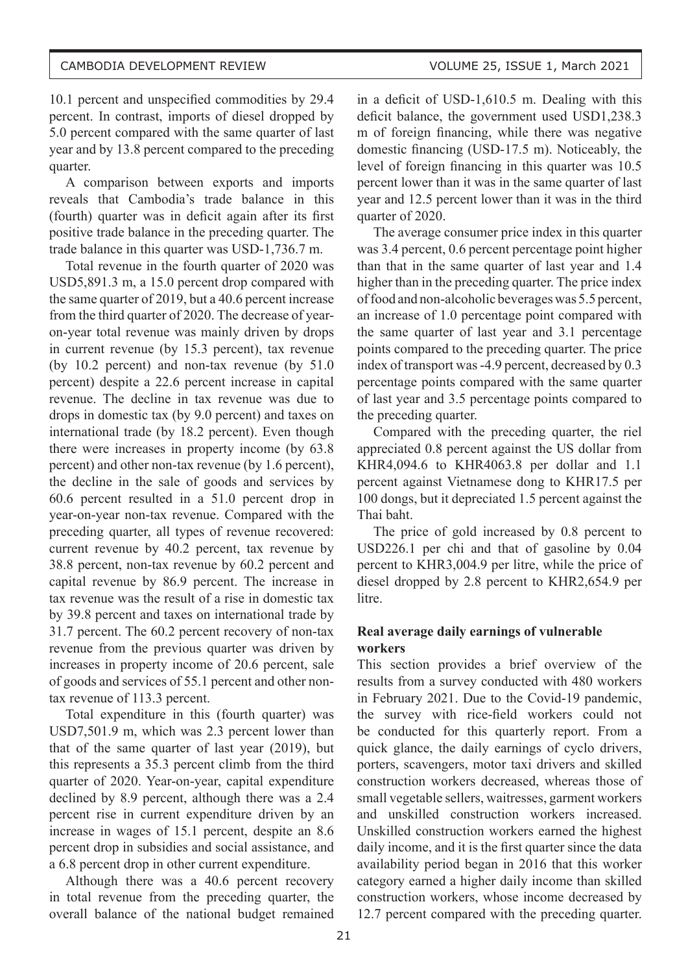10.1 percent and unspecified commodities by 29.4 percent. In contrast, imports of diesel dropped by 5.0 percent compared with the same quarter of last year and by 13.8 percent compared to the preceding quarter.

A comparison between exports and imports reveals that Cambodia's trade balance in this (fourth) quarter was in deficit again after its first positive trade balance in the preceding quarter. The trade balance in this quarter was USD-1,736.7 m.

Total revenue in the fourth quarter of 2020 was USD5,891.3 m, a 15.0 percent drop compared with the same quarter of 2019, but a 40.6 percent increase from the third quarter of 2020. The decrease of yearon-year total revenue was mainly driven by drops in current revenue (by 15.3 percent), tax revenue (by 10.2 percent) and non-tax revenue (by 51.0 percent) despite a 22.6 percent increase in capital revenue. The decline in tax revenue was due to drops in domestic tax (by 9.0 percent) and taxes on international trade (by 18.2 percent). Even though there were increases in property income (by 63.8 percent) and other non-tax revenue (by 1.6 percent), the decline in the sale of goods and services by 60.6 percent resulted in a 51.0 percent drop in year-on-year non-tax revenue. Compared with the preceding quarter, all types of revenue recovered: current revenue by 40.2 percent, tax revenue by 38.8 percent, non-tax revenue by 60.2 percent and capital revenue by 86.9 percent. The increase in tax revenue was the result of a rise in domestic tax by 39.8 percent and taxes on international trade by 31.7 percent. The 60.2 percent recovery of non-tax revenue from the previous quarter was driven by increases in property income of 20.6 percent, sale of goods and services of 55.1 percent and other nontax revenue of 113.3 percent.

Total expenditure in this (fourth quarter) was USD7,501.9 m, which was 2.3 percent lower than that of the same quarter of last year (2019), but this represents a 35.3 percent climb from the third quarter of 2020. Year-on-year, capital expenditure declined by 8.9 percent, although there was a 2.4 percent rise in current expenditure driven by an increase in wages of 15.1 percent, despite an 8.6 percent drop in subsidies and social assistance, and a 6.8 percent drop in other current expenditure.

Although there was a 40.6 percent recovery in total revenue from the preceding quarter, the overall balance of the national budget remained

in a deficit of USD-1,610.5 m. Dealing with this deficit balance, the government used USD1,238.3 m of foreign financing, while there was negative domestic financing (USD-17.5 m). Noticeably, the level of foreign financing in this quarter was 10.5 percent lower than it was in the same quarter of last year and 12.5 percent lower than it was in the third quarter of 2020.

The average consumer price index in this quarter was 3.4 percent, 0.6 percent percentage point higher than that in the same quarter of last year and 1.4 higher than in the preceding quarter. The price index of food and non-alcoholic beverages was 5.5 percent, an increase of 1.0 percentage point compared with the same quarter of last year and 3.1 percentage points compared to the preceding quarter. The price index of transport was -4.9 percent, decreased by 0.3 percentage points compared with the same quarter of last year and 3.5 percentage points compared to the preceding quarter.

Compared with the preceding quarter, the riel appreciated 0.8 percent against the US dollar from KHR4,094.6 to KHR4063.8 per dollar and 1.1 percent against Vietnamese dong to KHR17.5 per 100 dongs, but it depreciated 1.5 percent against the Thai baht.

The price of gold increased by 0.8 percent to USD226.1 per chi and that of gasoline by 0.04 percent to KHR3,004.9 per litre, while the price of diesel dropped by 2.8 percent to KHR2,654.9 per litre.

### **Real average daily earnings of vulnerable workers**

This section provides a brief overview of the results from a survey conducted with 480 workers in February 2021. Due to the Covid-19 pandemic, the survey with rice-field workers could not be conducted for this quarterly report. From a quick glance, the daily earnings of cyclo drivers, porters, scavengers, motor taxi drivers and skilled construction workers decreased, whereas those of small vegetable sellers, waitresses, garment workers and unskilled construction workers increased. Unskilled construction workers earned the highest daily income, and it is the first quarter since the data availability period began in 2016 that this worker category earned a higher daily income than skilled construction workers, whose income decreased by 12.7 percent compared with the preceding quarter.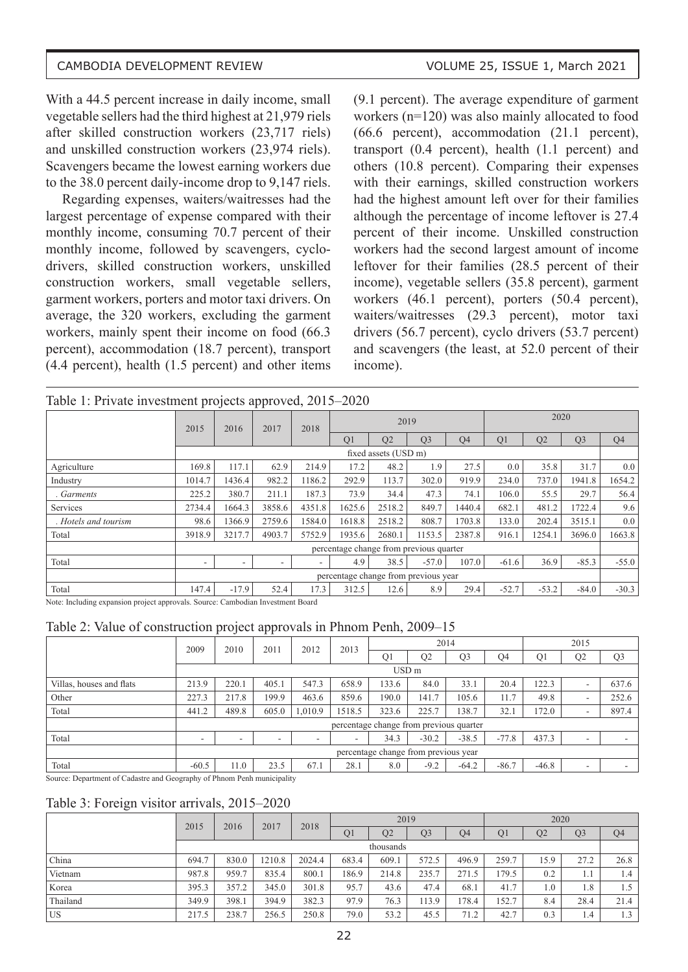With a 44.5 percent increase in daily income, small vegetable sellers had the third highest at 21,979 riels after skilled construction workers (23,717 riels) and unskilled construction workers (23,974 riels). Scavengers became the lowest earning workers due to the 38.0 percent daily-income drop to 9,147 riels.

Regarding expenses, waiters/waitresses had the largest percentage of expense compared with their monthly income, consuming 70.7 percent of their monthly income, followed by scavengers, cyclodrivers, skilled construction workers, unskilled construction workers, small vegetable sellers, garment workers, porters and motor taxi drivers. On average, the 320 workers, excluding the garment workers, mainly spent their income on food (66.3 percent), accommodation (18.7 percent), transport (4.4 percent), health (1.5 percent) and other items

(9.1 percent). The average expenditure of garment workers (n=120) was also mainly allocated to food (66.6 percent), accommodation (21.1 percent), transport (0.4 percent), health (1.1 percent) and others (10.8 percent). Comparing their expenses with their earnings, skilled construction workers had the highest amount left over for their families although the percentage of income leftover is 27.4 percent of their income. Unskilled construction workers had the second largest amount of income leftover for their families (28.5 percent of their income), vegetable sellers (35.8 percent), garment workers (46.1 percent), porters (50.4 percent), waiters/waitresses (29.3 percent), motor taxi drivers (56.7 percent), cyclo drivers (53.7 percent) and scavengers (the least, at 52.0 percent of their income).

|  | Table 1: Private investment projects approved, 2015–2020 |
|--|----------------------------------------------------------|
|--|----------------------------------------------------------|

|                      |                                      | 2020    |        |        |                |                      |                                         |                |                |         |                |                |  |  |
|----------------------|--------------------------------------|---------|--------|--------|----------------|----------------------|-----------------------------------------|----------------|----------------|---------|----------------|----------------|--|--|
|                      | 2015                                 | 2016    | 2017   | 2018   |                | 2019                 |                                         |                |                |         |                |                |  |  |
|                      |                                      |         |        |        | Q <sub>1</sub> | Q2                   | Q <sub>3</sub>                          | Q <sub>4</sub> | Q <sub>1</sub> | Q2      | Q <sub>3</sub> | Q <sub>4</sub> |  |  |
|                      |                                      |         |        |        |                | fixed assets (USD m) |                                         |                |                |         |                |                |  |  |
| Agriculture          | 169.8                                | 117.1   | 62.9   | 214.9  | 17.2           | 48.2                 | 1.9                                     | 27.5           | 0.0            | 35.8    | 31.7           | 0.0            |  |  |
| Industry             | 1014.7                               | 1436.4  | 982.2  | 1186.2 | 292.9          | 113.7                | 302.0                                   | 919.9          | 234.0          | 737.0   | 1941.8         | 1654.2         |  |  |
| Garments             | 225.2                                | 380.7   | 211.1  | 187.3  | 73.9           | 34.4                 | 47.3                                    | 74.1           | 106.0          | 55.5    | 29.7           | 56.4           |  |  |
| Services             | 2734.4                               | 1664.3  | 3858.6 | 4351.8 | 1625.6         | 2518.2               | 849.7                                   | 1440.4         | 682.1          | 481.2   | 1722.4         | 9.6            |  |  |
| . Hotels and tourism | 98.6                                 | 1366.9  | 2759.6 | 1584.0 | 1618.8         | 2518.2               | 808.7                                   | 1703.8         | 133.0          | 202.4   | 3515.1         | 0.0            |  |  |
| Total                | 3918.9                               | 3217.7  | 4903.7 | 5752.9 | 1935.6         | 2680.1               | 1153.5                                  | 2387.8         | 916.1          | 1254.1  | 3696.0         | 1663.8         |  |  |
|                      |                                      |         |        |        |                |                      | percentage change from previous quarter |                |                |         |                |                |  |  |
| Total                | ۰.                                   |         |        |        | 4.9            | 38.5                 | $-57.0$                                 | 107.0          | $-61.6$        | 36.9    | $-85.3$        | $-55.0$        |  |  |
|                      | percentage change from previous year |         |        |        |                |                      |                                         |                |                |         |                |                |  |  |
| Total                | 147.4                                | $-17.9$ | 52.4   | 17.3   | 312.5          | 12.6                 | 8.9                                     | 29.4           | $-52.7$        | $-53.2$ | $-84.0$        | $-30.3$        |  |  |

Note: Including expansion project approvals. Source: Cambodian Investment Board

Table 2: Value of construction project approvals in Phnom Penh, 2009–15

|                          | 2009                                 | 2010   | 2011  | 2012    | 2013                                    |                  | 2014           |                |                |                | 2015 |                |
|--------------------------|--------------------------------------|--------|-------|---------|-----------------------------------------|------------------|----------------|----------------|----------------|----------------|------|----------------|
|                          |                                      |        |       |         |                                         | Q <sub>1</sub>   | Q <sub>2</sub> | Q <sub>3</sub> | Q <sub>4</sub> | Q <sub>1</sub> | Q2   | Q <sub>3</sub> |
|                          |                                      |        |       |         |                                         | USD <sub>m</sub> |                |                |                |                |      |                |
| Villas, houses and flats | 213.9                                | 220.1  | 405.1 | 547.3   | 658.9                                   | 133.6            | 84.0           | 33.1           | 20.4           | 122.3          | ۰    | 637.6          |
| Other                    | 227.3                                | 217.8  | 199.9 | 463.6   | 859.6                                   | 190.0            | 141.7          | 105.6          | 11.7           | 49.8           | ۰    | 252.6          |
| Total                    | 441.2                                | 489.8  | 605.0 | 1,010.9 | 1518.5                                  | 323.6            | 225.7          | 138.7          | 32.1           | 172.0          | ۰    | 897.4          |
|                          |                                      |        |       |         | percentage change from previous quarter |                  |                |                |                |                |      |                |
| Total                    | $\overline{\phantom{a}}$             | $\sim$ | ۰     | ۰       | -                                       | 34.3             | $-30.2$        | $-38.5$        | $-77.8$        | 437.3          | ۰    |                |
|                          | percentage change from previous year |        |       |         |                                         |                  |                |                |                |                |      |                |
| Total                    | $-60.5$                              | 11.0   | 23.5  | 67.1    | 28.1                                    | 8.0              | $-9.2$         | $-64.2$        | $-86.7$        | $-46.8$        | ۰    |                |

Source: Department of Cadastre and Geography of Phnom Penh municipality

#### Table 3: Foreign visitor arrivals, 2015–2020

|           | 2015<br>2016 | 2017  | 2018   |        | 2019  |                |                |                | 2020           |                  |                |                |
|-----------|--------------|-------|--------|--------|-------|----------------|----------------|----------------|----------------|------------------|----------------|----------------|
|           |              |       |        |        |       | Q <sub>2</sub> | Q <sub>3</sub> | Q <sub>4</sub> | Q <sub>1</sub> | Q <sub>2</sub>   | Q <sub>3</sub> | Q <sub>4</sub> |
|           |              |       |        |        |       | thousands      |                |                |                |                  |                |                |
| China     | 694.7        | 830.0 | 1210.8 | 2024.4 | 683.4 | 609.1          | 572.5          | 496.9          | 259.7          | 15.9             | 27.2           | 26.8           |
| Vietnam   | 987.8        | 959.7 | 835.4  | 800.1  | 186.9 | 214.8          | 235.7          | 271.5          | 179.5          | 0.2              | 1.1            | 1.4            |
| Korea     | 395.3        | 357.2 | 345.0  | 301.8  | 95.7  | 43.6           | 47.4           | 68.1           | 41.7           | 1.0 <sub>1</sub> | 1.8            | 1.5            |
| Thailand  | 349.9        | 398.1 | 394.9  | 382.3  | 97.9  | 76.3           | 113.9          | 178.4          | 152.7          | 8.4              | 28.4           | 21.4           |
| <b>US</b> | 217.5        | 238.7 | 256.5  | 250.8  | 79.0  | 53.2           | 45.5           | 71.2           | 42.7           | 0.3              | 1.4            | 1.3            |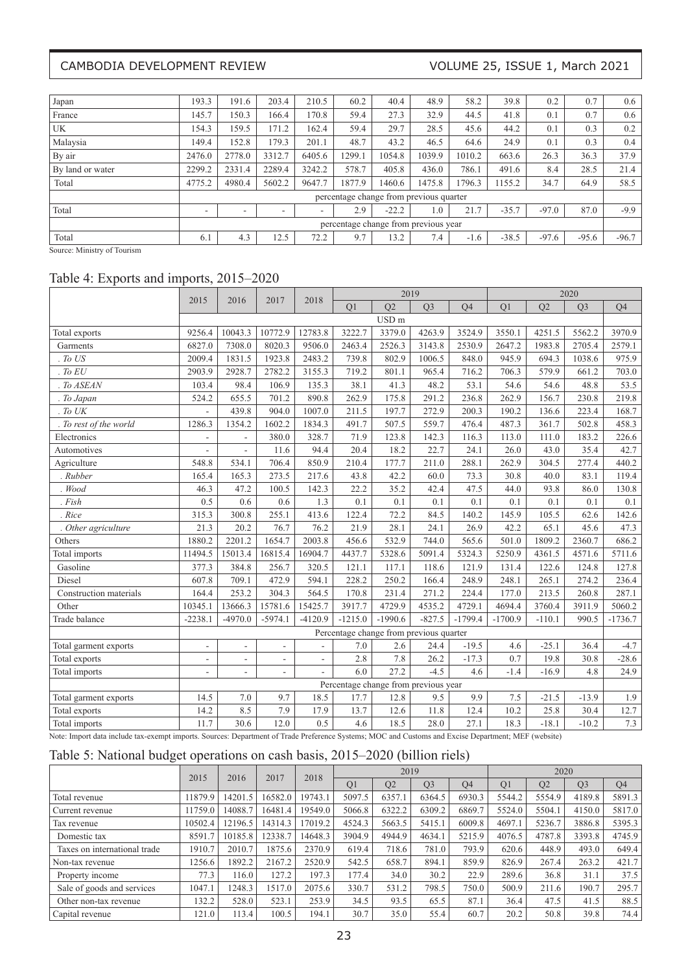### CAMBODIA DEVELOPMENT REVIEW VOLUME 25, ISSUE 1, March 2021

| Japan                   | 193.3                                | 191.6                    | 203.4  | 210.5                    | 60.2   | 40.4    | 48.9                                    | 58.2   | 39.8    | 0.2     | 0.7     | 0.6     |  |
|-------------------------|--------------------------------------|--------------------------|--------|--------------------------|--------|---------|-----------------------------------------|--------|---------|---------|---------|---------|--|
| France                  | 145.7                                | 150.3                    | 166.4  | 170.8                    | 59.4   | 27.3    | 32.9                                    | 44.5   | 41.8    | 0.1     | 0.7     | 0.6     |  |
| UK                      | 154.3                                | 159.5                    | 171.2  | 162.4                    | 59.4   | 29.7    | 28.5                                    | 45.6   | 44.2    | 0.1     | 0.3     | 0.2     |  |
| Malaysia                | 149.4                                | 152.8                    | 179.3  | 201.1                    | 48.7   | 43.2    | 46.5                                    | 64.6   | 24.9    | 0.1     | 0.3     | 0.4     |  |
| By air                  | 2476.0                               | 2778.0                   | 3312.7 | 6405.6                   | 1299.1 | 1054.8  | 1039.9                                  | 1010.2 | 663.6   | 26.3    | 36.3    | 37.9    |  |
| <b>By land or water</b> | 2299.2                               | 2331.4                   | 2289.4 | 3242.2                   | 578.7  | 405.8   | 436.0                                   | 786.1  | 491.6   | 8.4     | 28.5    | 21.4    |  |
| Total                   | 4775.2                               | 4980.4                   | 5602.2 | 9647.7                   | 1877.9 | 1460.6  | 1475.8                                  | 796.3  | 1155.2  | 34.7    | 64.9    | 58.5    |  |
|                         |                                      |                          |        |                          |        |         | percentage change from previous quarter |        |         |         |         |         |  |
| Total                   |                                      | $\overline{\phantom{a}}$ | -      | $\overline{\phantom{a}}$ | 2.9    | $-22.2$ | 1.0                                     | 21.7   | $-35.7$ | $-97.0$ | 87.0    | $-9.9$  |  |
|                         | percentage change from previous year |                          |        |                          |        |         |                                         |        |         |         |         |         |  |
| Total                   | 6.1                                  | 4.3                      | 12.5   | 72.2                     | 9.7    | 13.2    | 7.4                                     | $-1.6$ | $-38.5$ | $-97.6$ | $-95.6$ | $-96.7$ |  |

Source: Ministry of Tourism

# Table 4: Exports and imports, 2015–2020

|                        | 2015                                    | 2016                                                                                                                                                | 2017                     | 2018           | 2019                                 |                  |                |                |           |          | 2020           |           |  |
|------------------------|-----------------------------------------|-----------------------------------------------------------------------------------------------------------------------------------------------------|--------------------------|----------------|--------------------------------------|------------------|----------------|----------------|-----------|----------|----------------|-----------|--|
|                        |                                         |                                                                                                                                                     |                          |                | Q1                                   | Q2               | Q <sub>3</sub> | Q <sub>4</sub> | Q1        | Q2       | Q <sub>3</sub> | Q4        |  |
|                        |                                         |                                                                                                                                                     |                          |                |                                      | USD <sub>m</sub> |                |                |           |          |                |           |  |
| Total exports          | 9256.4                                  | 10043.3                                                                                                                                             | 10772.9                  | 12783.8        | 3222.7                               | 3379.0           | 4263.9         | 3524.9         | 3550.1    | 4251.5   | 5562.2         | 3970.9    |  |
| Garments               | 6827.0                                  | 7308.0                                                                                                                                              | 8020.3                   | 9506.0         | 2463.4                               | 2526.3           | 3143.8         | 2530.9         | 2647.2    | 1983.8   | 2705.4         | 2579.1    |  |
| To US                  | 2009.4                                  | 1831.5                                                                                                                                              | 1923.8                   | 2483.2         | 739.8                                | 802.9            | 1006.5         | 848.0          | 945.9     | 694.3    | 1038.6         | 975.9     |  |
| . To EU                | 2903.9                                  | 2928.7                                                                                                                                              | 2782.2                   | 3155.3         | 719.2                                | 801.1            | 965.4          | 716.2          | 706.3     | 579.9    | 661.2          | 703.0     |  |
| . To ASEAN             | 103.4                                   | 98.4                                                                                                                                                | 106.9                    | 135.3          | 38.1                                 | 41.3             | 48.2           | 53.1           | 54.6      | 54.6     | 48.8           | 53.5      |  |
| . To Japan             | 524.2                                   | 655.5                                                                                                                                               | 701.2                    | 890.8          | 262.9                                | 175.8            | 291.2          | 236.8          | 262.9     | 156.7    | 230.8          | 219.8     |  |
| . To UK                |                                         | 439.8                                                                                                                                               | 904.0                    | 1007.0         | 211.5                                | 197.7            | 272.9          | 200.3          | 190.2     | 136.6    | 223.4          | 168.7     |  |
| . To rest of the world | 1286.3                                  | 1354.2                                                                                                                                              | 1602.2                   | 1834.3         | 491.7                                | 507.5            | 559.7          | 476.4          | 487.3     | 361.7    | 502.8          | 458.3     |  |
| Electronics            | ÷,                                      |                                                                                                                                                     | 380.0                    | 328.7          | 71.9                                 | 123.8            | 142.3          | 116.3          | 113.0     | 111.0    | 183.2          | 226.6     |  |
| Automotives            | $\overline{a}$                          | ÷.                                                                                                                                                  | 11.6                     | 94.4           | 20.4                                 | 18.2             | 22.7           | 24.1           | 26.0      | 43.0     | 35.4           | 42.7      |  |
| Agriculture            | 548.8                                   | 534.1                                                                                                                                               | 706.4                    | 850.9          | 210.4                                | 177.7            | 211.0          | 288.1          | 262.9     | 304.5    | 277.4          | 440.2     |  |
| . Rubber               | 165.4                                   | 165.3                                                                                                                                               | 273.5                    | 217.6          | 43.8                                 | 42.2             | 60.0           | 73.3           | 30.8      | 40.0     | 83.1           | 119.4     |  |
| $.$ Wood               | 46.3                                    | 47.2                                                                                                                                                | 100.5                    | 142.3          | 22.2                                 | 35.2             | 42.4           | 47.5           | 44.0      | 93.8     | 86.0           | 130.8     |  |
| Fish                   | 0.5                                     | 0.6                                                                                                                                                 | 0.6                      | 1.3            | 0.1                                  | 0.1              | 0.1            | 0.1            | 0.1       | 0.1      | 0.1            | 0.1       |  |
| . Rice                 | 315.3                                   | 300.8                                                                                                                                               | 255.1                    | 413.6          | 122.4                                | 72.2             | 84.5           | 140.2          | 145.9     | 105.5    | 62.6           | 142.6     |  |
| . Other agriculture    | 21.3                                    | 20.2                                                                                                                                                | 76.7                     | 76.2           | 21.9                                 | 28.1             | 24.1           | 26.9           | 42.2      | 65.1     | 45.6           | 47.3      |  |
| Others                 | 1880.2                                  | 2201.2                                                                                                                                              | 1654.7                   | 2003.8         | 456.6                                | 532.9            | 744.0          | 565.6          | 501.0     | 1809.2   | 2360.7         | 686.2     |  |
| Total imports          | 11494.5                                 | 15013.4                                                                                                                                             | 16815.4                  | 16904.7        | 4437.7                               | 5328.6           | 5091.4         | 5324.3         | 5250.9    | 4361.5   | 4571.6         | 5711.6    |  |
| Gasoline               | 377.3                                   | 384.8                                                                                                                                               | 256.7                    | 320.5          | 121.1                                | 117.1            | 118.6          | 121.9          | 131.4     | 122.6    | 124.8          | 127.8     |  |
| Diesel                 | 607.8                                   | 709.1                                                                                                                                               | 472.9                    | 594.1          | 228.2                                | 250.2            | 166.4          | 248.9          | 248.1     | 265.1    | 274.2          | 236.4     |  |
| Construction materials | 164.4                                   | 253.2                                                                                                                                               | 304.3                    | 564.5          | 170.8                                | 231.4            | 271.2          | 224.4          | 177.0     | 213.5    | 260.8          | 287.1     |  |
| Other                  | 10345.1                                 | 13666.3                                                                                                                                             | 15781.6                  | 15425.7        | 3917.7                               | 4729.9           | 4535.2         | 4729.1         | 4694.4    | 3760.4   | 3911.9         | 5060.2    |  |
| Trade balance          | $-2238.1$                               | $-4970.0$                                                                                                                                           | $-5974.1$                | $-4120.9$      | $-1215.0$                            | $-1990.6$        | $-827.5$       | $-1799.4$      | $-1700.9$ | $-110.1$ | 990.5          | $-1736.7$ |  |
|                        | Percentage change from previous quarter |                                                                                                                                                     |                          |                |                                      |                  |                |                |           |          |                |           |  |
| Total garment exports  | ÷,                                      | ÷.                                                                                                                                                  | ÷,                       |                | 7.0                                  | 2.6              | 24.4           | $-19.5$        | 4.6       | $-25.1$  | 36.4           | $-4.7$    |  |
| Total exports          | ÷,                                      | $\overline{\phantom{a}}$                                                                                                                            | ÷,                       | $\overline{a}$ | 2.8                                  | 7.8              | 26.2           | $-17.3$        | 0.7       | 19.8     | 30.8           | $-28.6$   |  |
| Total imports          | ÷,                                      | $\overline{\phantom{a}}$                                                                                                                            | $\overline{\phantom{a}}$ |                | 6.0                                  | 27.2             | $-4.5$         | 4.6            | $-1.4$    | $-16.9$  | 4.8            | 24.9      |  |
|                        |                                         |                                                                                                                                                     |                          |                | Percentage change from previous year |                  |                |                |           |          |                |           |  |
| Total garment exports  | 14.5                                    | 7.0                                                                                                                                                 | 9.7                      | 18.5           | 17.7                                 | 12.8             | 9.5            | 9.9            | 7.5       | $-21.5$  | $-13.9$        | 1.9       |  |
| Total exports          | 14.2                                    | 8.5                                                                                                                                                 | 7.9                      | 17.9           | 13.7                                 | 12.6             | $11.8\,$       | 12.4           | 10.2      | 25.8     | 30.4           | 12.7      |  |
| Total imports          | 11.7                                    | 30.6                                                                                                                                                | 12.0                     | 0.5            | 4.6                                  | 18.5             | 28.0           | 27.1           | 18.3      | $-18.1$  | $-10.2$        | 7.3       |  |
|                        |                                         | Note: Import data include tax-exempt imports. Sources: Department of Trade Preference Systems; MOC and Customs and Excise Department; MEF (website) |                          |                |                                      |                  |                |                |           |          |                |           |  |

# Table 5: National budget operations on cash basis, 2015–2020 (billion riels)

|                              | 2015    |         | 2016    |         | 2018           |                | 2019           |           |        |                | 2020           |                |  |
|------------------------------|---------|---------|---------|---------|----------------|----------------|----------------|-----------|--------|----------------|----------------|----------------|--|
|                              |         |         | 2017    |         | O <sub>1</sub> | O <sub>2</sub> | O <sub>3</sub> | <b>O4</b> | Q1     | O <sub>2</sub> | O <sub>3</sub> | O <sub>4</sub> |  |
| Total revenue                | 11879.9 | 14201.5 | 16582.0 | 19743.1 | 5097.5         | 6357.1         | 6364.5         | 6930.3    | 5544.2 | 5554.9         | 4189.8         | 5891.3         |  |
| Current revenue              | 11759.0 | 14088.7 | 16481.4 | 19549.0 | 5066.8         | 6322.2         | 6309.2         | 6869.7    | 5524.0 | 5504.1         | 4150.0         | 5817.0         |  |
| Tax revenue                  | 10502.4 | 12196.5 | 14314.3 | 17019.2 | 4524.3         | 5663.5         | 5415.1         | 6009.8    | 4697.1 | 5236.7         | 3886.8         | 5395.3         |  |
| Domestic tax                 | 8591.7  | 10185.8 | 12338.7 | 14648.3 | 3904.9         | 4944.9         | 4634.1         | 5215.9    | 4076.5 | 4787.8         | 3393.8         | 4745.9         |  |
| Taxes on international trade | 1910.7  | 2010.7  | 1875.6  | 2370.9  | 619.4          | 718.6          | 781.0          | 793.9     | 620.6  | 448.9          | 493.0          | 649.4          |  |
| Non-tax revenue              | 1256.6  | 1892.2  | 2167.2  | 2520.9  | 542.5          | 658.7          | 894.1          | 859.9     | 826.9  | 267.4          | 263.2          | 421.7          |  |
| Property income              | 77.3    | 116.0   | 127.2   | 197.3   | 177.4          | 34.0           | 30.2           | 22.9      | 289.6  | 36.8           | 31.1           | 37.5           |  |
| Sale of goods and services   | 1047.1  | 1248.3  | 1517.0  | 2075.6  | 330.7          | 531.2          | 798.5          | 750.0     | 500.9  | 211.6          | 190.7          | 295.7          |  |
| Other non-tax revenue        | 32.2    | 528.0   | 523.1   | 253.9   | 34.5           | 93.5           | 65.5           | 87.1      | 36.4   | 47.5           | 41.5           | 88.5           |  |
| Capital revenue              | 121.0   | 113.4   | 100.5   | 194.1   | 30.7           | 35.0           | 55.4           | 60.7      | 20.2   | 50.8           | 39.8           | 74.4           |  |